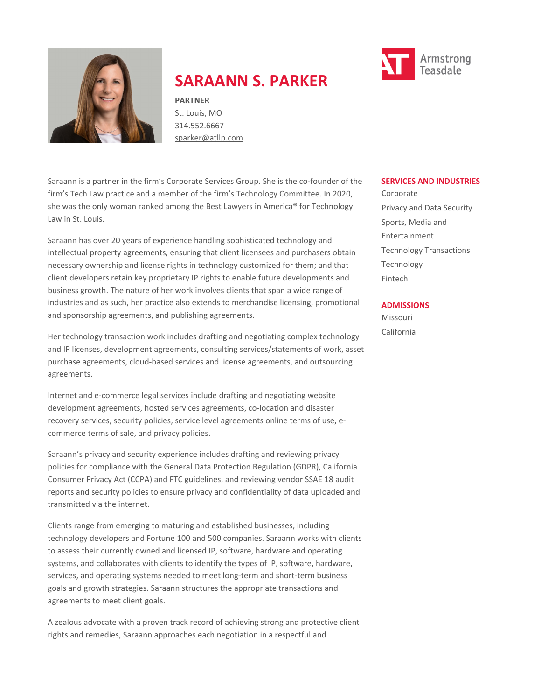

# **SARAANN S. PARKER**

**PARTNER** St. Louis, MO 314.552.6667 [sparker@atllp.com](mailto:sparker@atllp.com)

Saraann is a partner in the firm's Corporate Services Group. She is the co-founder of the firm's Tech Law practice and a member of the firm's Technology Committee. In 2020, she was the only woman ranked among the Best Lawyers in America® for Technology Law in St. Louis.

Saraann has over 20 years of experience handling sophisticated technology and intellectual property agreements, ensuring that client licensees and purchasers obtain necessary ownership and license rights in technology customized for them; and that client developers retain key proprietary IP rights to enable future developments and business growth. The nature of her work involves clients that span a wide range of industries and as such, her practice also extends to merchandise licensing, promotional and sponsorship agreements, and publishing agreements.

Her technology transaction work includes drafting and negotiating complex technology and IP licenses, development agreements, consulting services/statements of work, asset purchase agreements, cloud-based services and license agreements, and outsourcing agreements.

Internet and e-commerce legal services include drafting and negotiating website development agreements, hosted services agreements, co-location and disaster recovery services, security policies, service level agreements online terms of use, ecommerce terms of sale, and privacy policies.

Saraann's privacy and security experience includes drafting and reviewing privacy policies for compliance with the General Data Protection Regulation (GDPR), California Consumer Privacy Act (CCPA) and FTC guidelines, and reviewing vendor SSAE 18 audit reports and security policies to ensure privacy and confidentiality of data uploaded and transmitted via the internet.

Clients range from emerging to maturing and established businesses, including technology developers and Fortune 100 and 500 companies. Saraann works with clients to assess their currently owned and licensed IP, software, hardware and operating systems, and collaborates with clients to identify the types of IP, software, hardware, services, and operating systems needed to meet long-term and short-term business goals and growth strategies. Saraann structures the appropriate transactions and agreements to meet client goals.

A zealous advocate with a proven track record of achieving strong and protective client rights and remedies, Saraann approaches each negotiation in a respectful and

### **SERVICES AND INDUSTRIES**

Corporate Privacy and Data Security Sports, Media and Entertainment Technology Transactions Technology Fintech

### **ADMISSIONS**

Missouri California

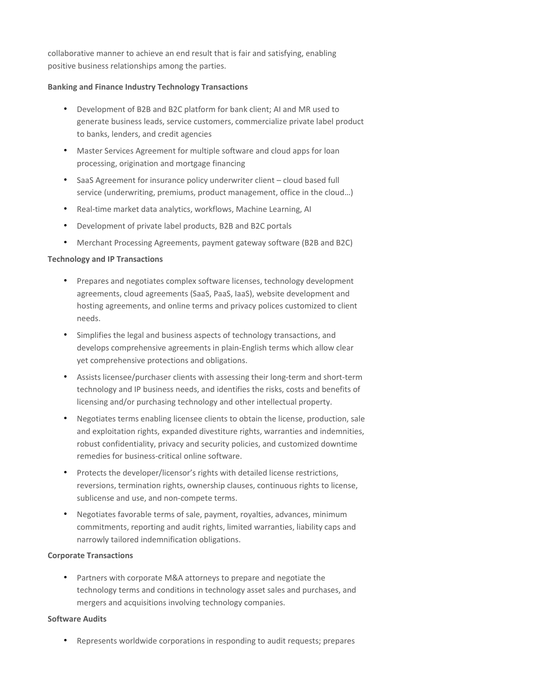collaborative manner to achieve an end result that is fair and satisfying, enabling positive business relationships among the parties.

### **Banking and Finance Industry Technology Transactions**

- Development of B2B and B2C platform for bank client; AI and MR used to generate business leads, service customers, commercialize private label product to banks, lenders, and credit agencies
- Master Services Agreement for multiple software and cloud apps for loan processing, origination and mortgage financing
- SaaS Agreement for insurance policy underwriter client cloud based full service (underwriting, premiums, product management, office in the cloud…)
- Real-time market data analytics, workflows, Machine Learning, AI
- Development of private label products, B2B and B2C portals
- Merchant Processing Agreements, payment gateway software (B2B and B2C)

### **Technology and IP Transactions**

- Prepares and negotiates complex software licenses, technology development agreements, cloud agreements (SaaS, PaaS, IaaS), website development and hosting agreements, and online terms and privacy polices customized to client needs.
- Simplifies the legal and business aspects of technology transactions, and develops comprehensive agreements in plain-English terms which allow clear yet comprehensive protections and obligations.
- Assists licensee/purchaser clients with assessing their long-term and short-term technology and IP business needs, and identifies the risks, costs and benefits of licensing and/or purchasing technology and other intellectual property.
- Negotiates terms enabling licensee clients to obtain the license, production, sale and exploitation rights, expanded divestiture rights, warranties and indemnities, robust confidentiality, privacy and security policies, and customized downtime remedies for business-critical online software.
- Protects the developer/licensor's rights with detailed license restrictions, reversions, termination rights, ownership clauses, continuous rights to license, sublicense and use, and non-compete terms.
- Negotiates favorable terms of sale, payment, royalties, advances, minimum commitments, reporting and audit rights, limited warranties, liability caps and narrowly tailored indemnification obligations.

### **Corporate Transactions**

• Partners with corporate M&A attorneys to prepare and negotiate the technology terms and conditions in technology asset sales and purchases, and mergers and acquisitions involving technology companies.

### **Software Audits**

• Represents worldwide corporations in responding to audit requests; prepares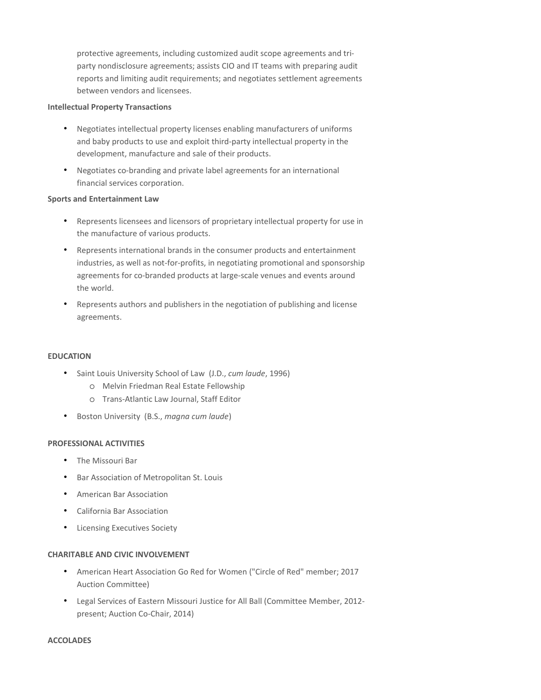protective agreements, including customized audit scope agreements and triparty nondisclosure agreements; assists CIO and IT teams with preparing audit reports and limiting audit requirements; and negotiates settlement agreements between vendors and licensees.

### **Intellectual Property Transactions**

- Negotiates intellectual property licenses enabling manufacturers of uniforms and baby products to use and exploit third-party intellectual property in the development, manufacture and sale of their products.
- Negotiates co-branding and private label agreements for an international financial services corporation.

### **Sports and Entertainment Law**

- Represents licensees and licensors of proprietary intellectual property for use in the manufacture of various products.
- Represents international brands in the consumer products and entertainment industries, as well as not-for-profits, in negotiating promotional and sponsorship agreements for co-branded products at large-scale venues and events around the world.
- Represents authors and publishers in the negotiation of publishing and license agreements.

### **EDUCATION**

- Saint Louis University School of Law (J.D., *cum laude*, 1996)
	- o Melvin Friedman Real Estate Fellowship
	- o Trans-Atlantic Law Journal, Staff Editor
- Boston University (B.S., *magna cum laude*)

### **PROFESSIONAL ACTIVITIES**

- The Missouri Bar
- Bar Association of Metropolitan St. Louis
- American Bar Association
- California Bar Association
- Licensing Executives Society

### **CHARITABLE AND CIVIC INVOLVEMENT**

- American Heart Association Go Red for Women ("Circle of Red" member; 2017 Auction Committee)
- Legal Services of Eastern Missouri Justice for All Ball (Committee Member, 2012 present; Auction Co-Chair, 2014)

### **ACCOLADES**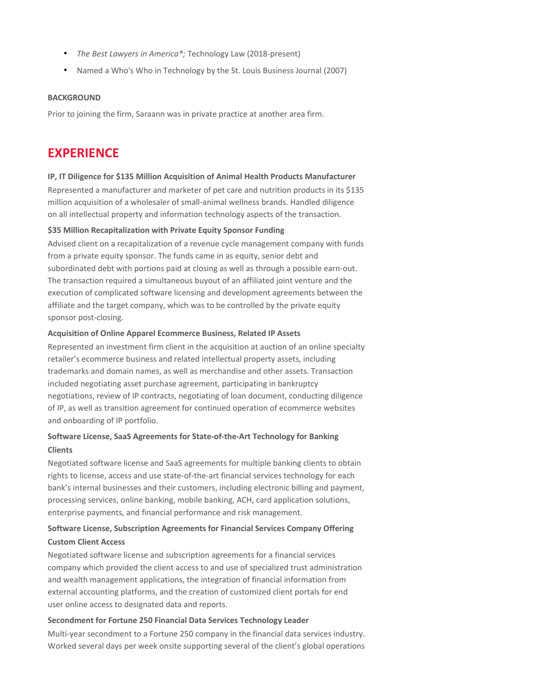- *The Best Lawyers in America®;* Technology Law (2018-present)
- Named a Who's Who in Technology by the St. Louis Business Journal (2007)

### **BACKGROUND**

Prior to joining the firm, Saraann was in private practice at another area firm.

# **EXPERIENCE**

### **IP, IT Diligence for \$135 Million Acquisition of Animal Health Products Manufacturer**

Represented a manufacturer and marketer of pet care and nutrition products in its \$135 million acquisition of a wholesaler of small-animal wellness brands. Handled diligence on all intellectual property and information technology aspects of the transaction.

### **\$35 Million Recapitalization with Private Equity Sponsor Funding**

Advised client on a recapitalization of a revenue cycle management company with funds from a private equity sponsor. The funds came in as equity, senior debt and subordinated debt with portions paid at closing as well as through a possible earn-out. The transaction required a simultaneous buyout of an affiliated joint venture and the execution of complicated software licensing and development agreements between the affiliate and the target company, which was to be controlled by the private equity sponsor post-closing.

### **Acquisition of Online Apparel Ecommerce Business, Related IP Assets**

Represented an investment firm client in the acquisition at auction of an online specialty retailer's ecommerce business and related intellectual property assets, including trademarks and domain names, as well as merchandise and other assets. Transaction included negotiating asset purchase agreement, participating in bankruptcy negotiations, review of IP contracts, negotiating of loan document, conducting diligence of IP, as well as transition agreement for continued operation of ecommerce websites and onboarding of IP portfolio.

# **Software License, SaaS Agreements for State-of-the-Art Technology for Banking Clients**

Negotiated software license and SaaS agreements for multiple banking clients to obtain rights to license, access and use state-of-the-art financial services technology for each bank's internal businesses and their customers, including electronic billing and payment, processing services, online banking, mobile banking, ACH, card application solutions, enterprise payments, and financial performance and risk management.

# **Software License, Subscription Agreements for Financial Services Company Offering**

## **Custom Client Access**

Negotiated software license and subscription agreements for a financial services company which provided the client access to and use of specialized trust administration and wealth management applications, the integration of financial information from external accounting platforms, and the creation of customized client portals for end user online access to designated data and reports.

#### **Secondment for Fortune 250 Financial Data Services Technology Leader**

Multi-year secondment to a Fortune 250 company in the financial data services industry. Worked several days per week onsite supporting several of the client's global operations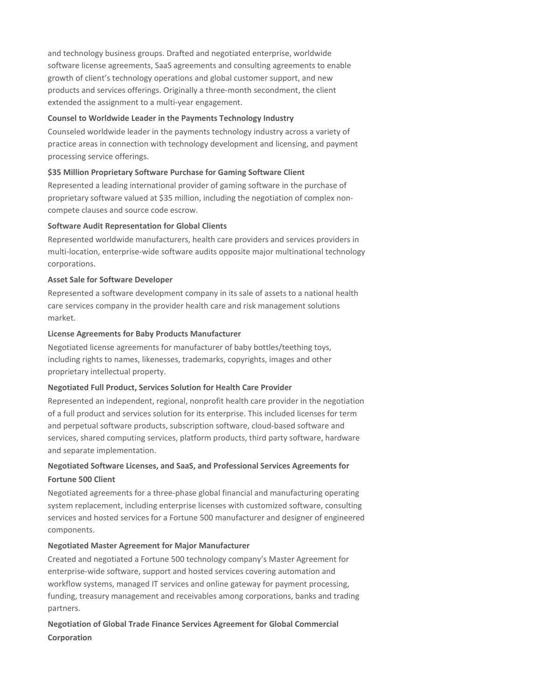and technology business groups. Drafted and negotiated enterprise, worldwide software license agreements, SaaS agreements and consulting agreements to enable growth of client's technology operations and global customer support, and new products and services offerings. Originally a three-month secondment, the client extended the assignment to a multi-year engagement.

### **Counsel to Worldwide Leader in the Payments Technology Industry**

Counseled worldwide leader in the payments technology industry across a variety of practice areas in connection with technology development and licensing, and payment processing service offerings.

### **\$35 Million Proprietary Software Purchase for Gaming Software Client**

Represented a leading international provider of gaming software in the purchase of proprietary software valued at \$35 million, including the negotiation of complex noncompete clauses and source code escrow.

### **Software Audit Representation for Global Clients**

Represented worldwide manufacturers, health care providers and services providers in multi-location, enterprise-wide software audits opposite major multinational technology corporations.

### **Asset Sale for Software Developer**

Represented a software development company in its sale of assets to a national health care services company in the provider health care and risk management solutions market.

### **License Agreements for Baby Products Manufacturer**

Negotiated license agreements for manufacturer of baby bottles/teething toys, including rights to names, likenesses, trademarks, copyrights, images and other proprietary intellectual property.

### **Negotiated Full Product, Services Solution for Health Care Provider**

Represented an independent, regional, nonprofit health care provider in the negotiation of a full product and services solution for its enterprise. This included licenses for term and perpetual software products, subscription software, cloud-based software and services, shared computing services, platform products, third party software, hardware and separate implementation.

### **Negotiated Software Licenses, and SaaS, and Professional Services Agreements for Fortune 500 Client**

Negotiated agreements for a three-phase global financial and manufacturing operating system replacement, including enterprise licenses with customized software, consulting services and hosted services for a Fortune 500 manufacturer and designer of engineered components.

### **Negotiated Master Agreement for Major Manufacturer**

Created and negotiated a Fortune 500 technology company's Master Agreement for enterprise-wide software, support and hosted services covering automation and workflow systems, managed IT services and online gateway for payment processing, funding, treasury management and receivables among corporations, banks and trading partners.

# **Negotiation of Global Trade Finance Services Agreement for Global Commercial Corporation**